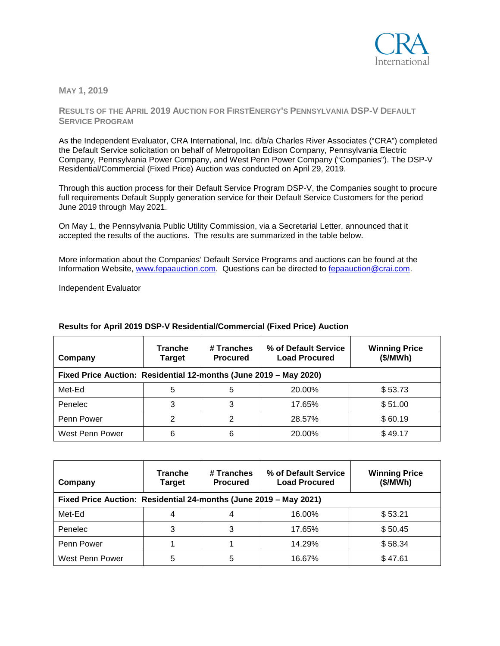

**MAY 1, 2019**

**RESULTS OF THE APRIL 2019 AUCTION FOR FIRSTENERGY'S PENNSYLVANIA DSP-V DEFAULT SERVICE PROGRAM**

As the Independent Evaluator, CRA International, Inc. d/b/a Charles River Associates ("CRA") completed the Default Service solicitation on behalf of Metropolitan Edison Company, Pennsylvania Electric Company, Pennsylvania Power Company, and West Penn Power Company ("Companies"). The DSP-V Residential/Commercial (Fixed Price) Auction was conducted on April 29, 2019.

Through this auction process for their Default Service Program DSP-V, the Companies sought to procure full requirements Default Supply generation service for their Default Service Customers for the period June 2019 through May 2021.

On May 1, the Pennsylvania Public Utility Commission, via a Secretarial Letter, announced that it accepted the results of the auctions. The results are summarized in the table below.

More information about the Companies' Default Service Programs and auctions can be found at the Information Website, [www.fepaauction.com.](http://www.fepaauction.com/) Questions can be directed to [fepaauction@crai.com.](mailto:fepaauction@crai.com)

Independent Evaluator

| Company                                                           | <b>Tranche</b><br><b>Target</b> | # Tranches<br><b>Procured</b> | % of Default Service<br><b>Load Procured</b> | <b>Winning Price</b><br>(\$/MWh) |
|-------------------------------------------------------------------|---------------------------------|-------------------------------|----------------------------------------------|----------------------------------|
| Fixed Price Auction: Residential 12-months (June 2019 - May 2020) |                                 |                               |                                              |                                  |
| Met-Ed                                                            | 5                               | 5                             | 20.00%                                       | \$53.73                          |
| Penelec                                                           | 3                               | 3                             | 17.65%                                       | \$51.00                          |
| Penn Power                                                        | 2                               | 2                             | 28.57%                                       | \$60.19                          |
| West Penn Power                                                   | 6                               | 6                             | 20.00%                                       | \$49.17                          |

## **Results for April 2019 DSP-V Residential/Commercial (Fixed Price) Auction**

| Company                                                           | <b>Tranche</b><br><b>Target</b> | # Tranches<br><b>Procured</b> | % of Default Service<br><b>Load Procured</b> | <b>Winning Price</b><br>(\$/MWh) |  |
|-------------------------------------------------------------------|---------------------------------|-------------------------------|----------------------------------------------|----------------------------------|--|
| Fixed Price Auction: Residential 24-months (June 2019 - May 2021) |                                 |                               |                                              |                                  |  |
| Met-Ed                                                            |                                 |                               | 16.00%                                       | \$53.21                          |  |
| Penelec                                                           | 3                               | 3                             | 17.65%                                       | \$50.45                          |  |
| Penn Power                                                        |                                 |                               | 14.29%                                       | \$58.34                          |  |
| West Penn Power                                                   | 5                               | 5                             | 16.67%                                       | \$47.61                          |  |